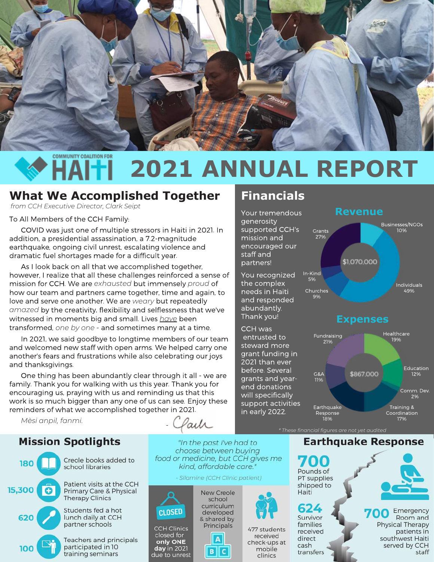

# **COMMUNITY COALITION FOR 2021 ANNUAL REPORT**

generosity

staff and partners!

supported CCH's mission and encouraged our

**Financials**

You recognized the complex needs in Haiti and responded abundantly. Thank you! CCH was entrusted to steward more grant funding in 2021 than ever before. Several grants and yearend donations will specifically support activities in early 2022.

## **What We Accomplished Together**

*from CCH Executive Director, Clark Seipt*

To All Members of the CCH Family:

 COVID was just one of multiple stressors in Haiti in 2021. In addition, a presidential assassination, a 7.2-magnitude earthquake, ongoing civil unrest, escalating violence and dramatic fuel shortages made for a difficult year.

 As I look back on all that we accomplished together, however, I realize that all these challenges reinforced a sense of mission for CCH. We are *exhausted* but immensely *proud* of how our team and partners came together, time and again, to love and serve one another. We are *weary* but repeatedly *amazed* by the creativity, flexibility and selflessness that we've witnessed in moments big and small. Lives *have* been transformed, *one by one* - and sometimes many at a time.

 In 2021, we said goodbye to longtime members of our team and welcomed new staff with open arms. We helped carry one another's fears and frustrations while also celebrating our joys and thanksgivings.

 One thing has been abundantly clear through it all - we are family. Thank you for walking with us this year. Thank you for encouraging us, praying with us and reminding us that this work is so much bigger than any one of us can see. Enjoy these reminders of what we accomplished together in 2021.

*Mèsi anpil, fanmi.* 

#### **Mission Spotlights**



aih -

"In the past I've had to choose between buving food or medicine, but CCH gives me kind, affordable care."

#### Silamine (CCH Clinic patient)



only ONE

day in 2021

due to unrest



A

**BIC** 



# **Revenue**



*\* These financial figures are not yet audited*

**Earthquake Response**